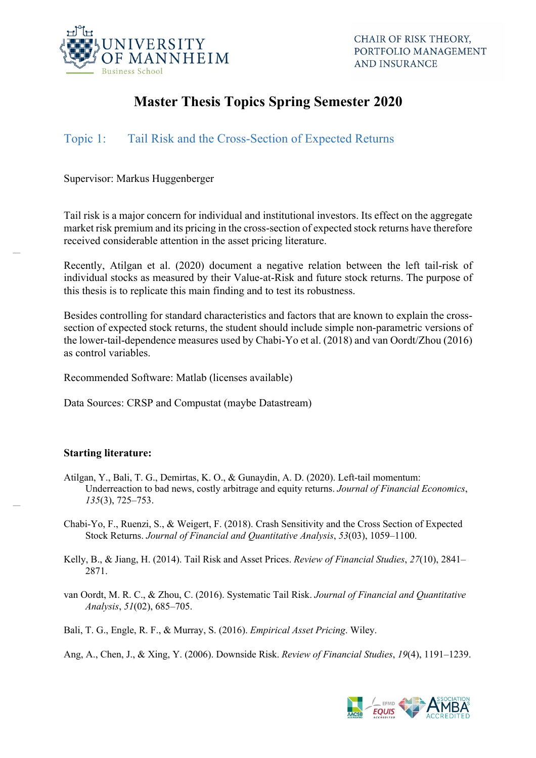

# **Master Thesis Topics Spring Semester 2020**

# Topic 1: Tail Risk and the Cross-Section of Expected Returns

Supervisor: Markus Huggenberger

Tail risk is a major concern for individual and institutional investors. Its effect on the aggregate market risk premium and its pricing in the cross-section of expected stock returns have therefore received considerable attention in the asset pricing literature.

Recently, Atilgan et al. (2020) document a negative relation between the left tail-risk of individual stocks as measured by their Value-at-Risk and future stock returns. The purpose of this thesis is to replicate this main finding and to test its robustness.

Besides controlling for standard characteristics and factors that are known to explain the crosssection of expected stock returns, the student should include simple non-parametric versions of the lower-tail-dependence measures used by Chabi-Yo et al. (2018) and van Oordt/Zhou (2016) as control variables.

Recommended Software: Matlab (licenses available)

Data Sources: CRSP and Compustat (maybe Datastream)

### **Starting literature:**

- Atilgan, Y., Bali, T. G., Demirtas, K. O., & Gunaydin, A. D. (2020). Left-tail momentum: Underreaction to bad news, costly arbitrage and equity returns. *Journal of Financial Economics*, *135*(3), 725–753.
- Chabi-Yo, F., Ruenzi, S., & Weigert, F. (2018). Crash Sensitivity and the Cross Section of Expected Stock Returns. *Journal of Financial and Quantitative Analysis*, *53*(03), 1059–1100.
- Kelly, B., & Jiang, H. (2014). Tail Risk and Asset Prices. *Review of Financial Studies*, *27*(10), 2841– 2871.
- van Oordt, M. R. C., & Zhou, C. (2016). Systematic Tail Risk. *Journal of Financial and Quantitative Analysis*, *51*(02), 685–705.

Bali, T. G., Engle, R. F., & Murray, S. (2016). *Empirical Asset Pricing*. Wiley.

Ang, A., Chen, J., & Xing, Y. (2006). Downside Risk. *Review of Financial Studies*, *19*(4), 1191–1239.

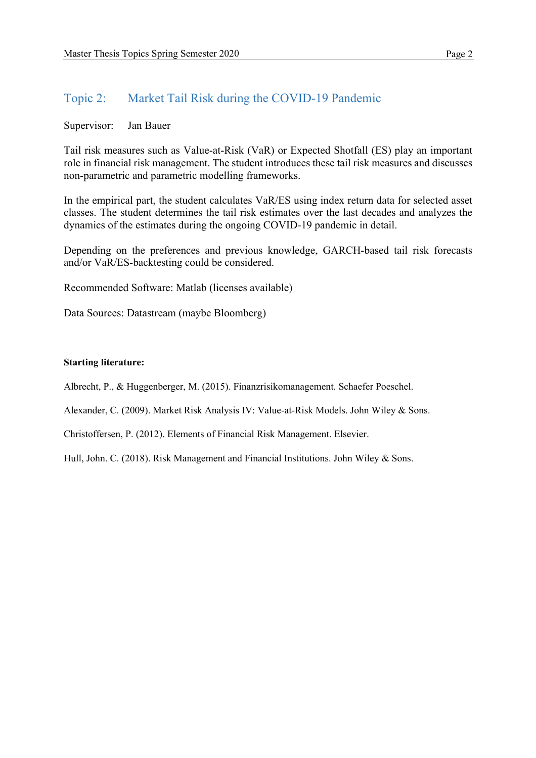## Topic 2: Market Tail Risk during the COVID-19 Pandemic

Supervisor: Jan Bauer

Tail risk measures such as Value-at-Risk (VaR) or Expected Shotfall (ES) play an important role in financial risk management. The student introduces these tail risk measures and discusses non-parametric and parametric modelling frameworks.

In the empirical part, the student calculates VaR/ES using index return data for selected asset classes. The student determines the tail risk estimates over the last decades and analyzes the dynamics of the estimates during the ongoing COVID-19 pandemic in detail.

Depending on the preferences and previous knowledge, GARCH-based tail risk forecasts and/or VaR/ES-backtesting could be considered.

Recommended Software: Matlab (licenses available)

Data Sources: Datastream (maybe Bloomberg)

#### **Starting literature:**

Albrecht, P., & Huggenberger, M. (2015). Finanzrisikomanagement. Schaefer Poeschel.

Alexander, C. (2009). Market Risk Analysis IV: Value-at-Risk Models. John Wiley & Sons.

Christoffersen, P. (2012). Elements of Financial Risk Management. Elsevier.

Hull, John. C. (2018). Risk Management and Financial Institutions. John Wiley & Sons.